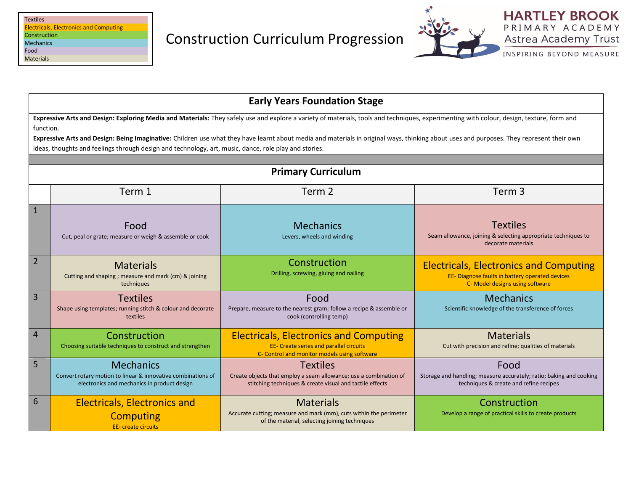| <b>Textiles</b>                               |
|-----------------------------------------------|
| <b>Electricals, Electronics and Computing</b> |
| Construction                                  |
| <b>Mechanics</b>                              |
| Food                                          |
| <b>Materials</b>                              |
|                                               |



INSPIRING BEYOND MEASURE

|                                                                                                                                                                                                                                                                                                                                                                                                                                                                                                             | <b>Early Years Foundation Stage</b>                                                                                             |                                                                                                                                                  |                                                                                                                                     |  |
|-------------------------------------------------------------------------------------------------------------------------------------------------------------------------------------------------------------------------------------------------------------------------------------------------------------------------------------------------------------------------------------------------------------------------------------------------------------------------------------------------------------|---------------------------------------------------------------------------------------------------------------------------------|--------------------------------------------------------------------------------------------------------------------------------------------------|-------------------------------------------------------------------------------------------------------------------------------------|--|
| Expressive Arts and Design: Exploring Media and Materials: They safely use and explore a variety of materials, tools and techniques, experimenting with colour, design, texture, form and<br>function.<br>Expressive Arts and Design: Being Imaginative: Children use what they have learnt about media and materials in original ways, thinking about uses and purposes. They represent their own<br>ideas, thoughts and feelings through design and technology, art, music, dance, role play and stories. |                                                                                                                                 |                                                                                                                                                  |                                                                                                                                     |  |
| <b>Primary Curriculum</b>                                                                                                                                                                                                                                                                                                                                                                                                                                                                                   |                                                                                                                                 |                                                                                                                                                  |                                                                                                                                     |  |
|                                                                                                                                                                                                                                                                                                                                                                                                                                                                                                             | Term 1                                                                                                                          | Term 2                                                                                                                                           | Term <sub>3</sub>                                                                                                                   |  |
| 1                                                                                                                                                                                                                                                                                                                                                                                                                                                                                                           | Food<br>Cut, peal or grate; measure or weigh & assemble or cook                                                                 | <b>Mechanics</b><br>Levers, wheels and winding                                                                                                   | <b>Textiles</b><br>Seam allowance, joining & selecting appropriate techniques to<br>decorate materials                              |  |
| $\overline{2}$                                                                                                                                                                                                                                                                                                                                                                                                                                                                                              | <b>Materials</b><br>Cutting and shaping ; measure and mark (cm) & joining<br>techniques                                         | Construction<br>Drilling, screwing, gluing and nailing                                                                                           | <b>Electricals, Electronics and Computing</b><br>EE- Diagnose faults in battery operated devices<br>C- Model designs using software |  |
| 3                                                                                                                                                                                                                                                                                                                                                                                                                                                                                                           | <b>Textiles</b><br>Shape using templates; running stitch & colour and decorate<br>textiles                                      | Food<br>Prepare, measure to the nearest gram; follow a recipe & assemble or<br>cook (controlling temp)                                           | <b>Mechanics</b><br>Scientific knowledge of the transference of forces                                                              |  |
| 4                                                                                                                                                                                                                                                                                                                                                                                                                                                                                                           | Construction<br>Choosing suitable techniques to construct and strengthen                                                        | <b>Electricals, Electronics and Computing</b><br><b>EE- Create series and parallel circuits</b><br>C- Control and monitor models using software  | <b>Materials</b><br>Cut with precision and refine; qualities of materials                                                           |  |
| 5                                                                                                                                                                                                                                                                                                                                                                                                                                                                                                           | <b>Mechanics</b><br>Convert rotary motion to linear & innovative combinations of<br>electronics and mechanics in product design | <b>Textiles</b><br>Create objects that employ a seam allowance; use a combination of<br>stitching techniques & create visual and tactile effects | Food<br>Storage and handling; measure accurately; ratio; baking and cooking<br>techniques & create and refine recipes               |  |
| 6                                                                                                                                                                                                                                                                                                                                                                                                                                                                                                           | <b>Electricals, Electronics and</b><br><b>Computing</b><br><b>EE-</b> create circuits                                           | <b>Materials</b><br>Accurate cutting; measure and mark (mm), cuts within the perimeter<br>of the material, selecting joining techniques          | Construction<br>Develop a range of practical skills to create products                                                              |  |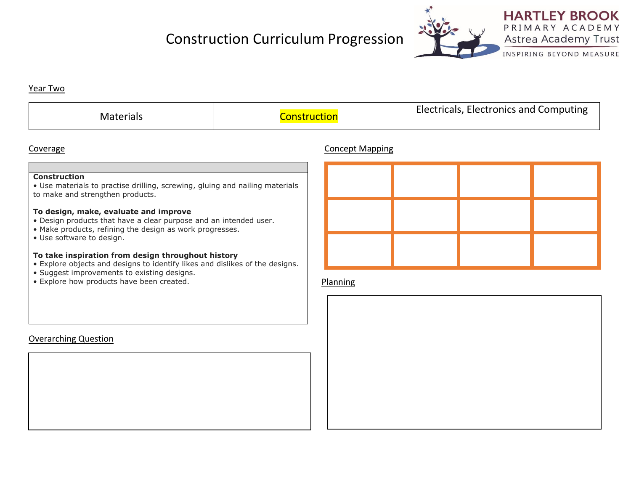# Construction Curriculum Progression



INSPIRING BEYOND MEASURE

### Year Two

| <b>Materials</b> | <u>ruction</u> | Electricals, Electronics and Computing |
|------------------|----------------|----------------------------------------|
|------------------|----------------|----------------------------------------|

## Coverage Concept Mapping

### **Construction**

• Use materials to practise drilling, screwing, gluing and nailing materials to make and strengthen products.

#### **To design, make, evaluate and improve**

- Design products that have a clear purpose and an intended user.
- Make products, refining the design as work progresses.
- Use software to design.

Overarching Question

### **To take inspiration from design throughout history**

- Explore objects and designs to identify likes and dislikes of the designs.
- Suggest improvements to existing designs.
- Explore how products have been created.

### Planning

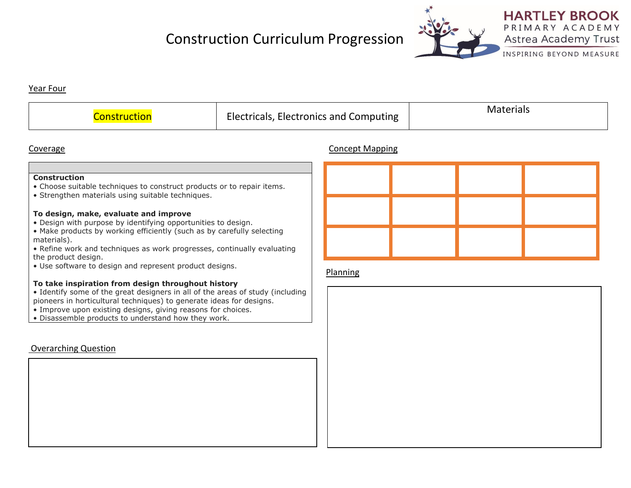# Construction Curriculum Progression



INSPIRING BEYOND MEASURE

#### Year Four

| ons | Electricals,<br><b>Electronics and Computing</b> | erials |
|-----|--------------------------------------------------|--------|
|-----|--------------------------------------------------|--------|

### Coverage Concept Mapping

#### **Construction**

- Choose suitable techniques to construct products or to repair items.
- Strengthen materials using suitable techniques.

#### **To design, make, evaluate and improve**

- Design with purpose by identifying opportunities to design.
- Make products by working efficiently (such as by carefully selecting materials).
- Refine work and techniques as work progresses, continually evaluating the product design.
- Use software to design and represent product designs.

#### **To take inspiration from design throughout history**

- Identify some of the great designers in all of the areas of study (including pioneers in horticultural techniques) to generate ideas for designs.
- Improve upon existing designs, giving reasons for choices.
- Disassemble products to understand how they work.

## Overarching Question



#### Planning